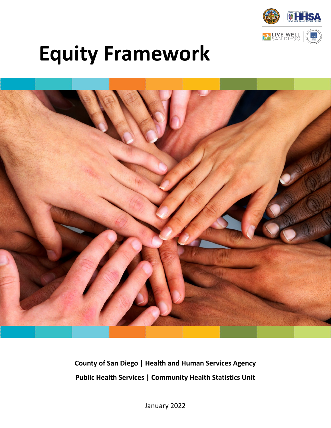

# **Equity Framework**



**County of San Diego | Health and Human Services Agency Public Health Services | Community Health Statistics Unit**

January 2022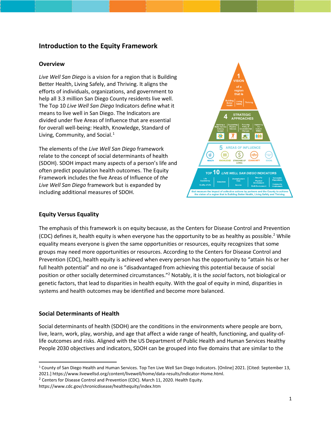## **Introduction to the Equity Framework**

#### **Overview**

*Live Well San Diego* is a vision for a region that is Building Better Health, Living Safely, and Thriving. It aligns the efforts of individuals, organizations, and government to help all 3.3 million San Diego County residents live well. The Top 10 *Live Well San Diego* Indicators define what it means to live well in San Diego. The Indicators are divided under five Areas of Influence that are essential for overall well-being: Health, Knowledge, Standard of Living, Community, and Social. $<sup>1</sup>$  $<sup>1</sup>$  $<sup>1</sup>$ </sup>

The elements of the *Live Well San Diego* framework relate to the concept of social determinants of health (SDOH). SDOH impact many aspects of a person's life and often predict population health outcomes. The Equity Framework includes the five Areas of Influence of *the Live Well San Diego* framework but is expanded by including additional measures of SDOH.



#### **Equity Versus Equality**

The emphasis of this framework is on equity because, as the Centers for Disease Control and Prevention (CDC) defines it, health equity is when everyone has the opportunity to be as healthy as possible.<sup>[2](#page-1-1)</sup> While equality means everyone is given the same opportunities or resources, equity recognizes that some groups may need more opportunities or resources. According to the Centers for Disease Control and Prevention (CDC), health equity is achieved when every person has the opportunity to "attain his or her full health potential" and no one is "disadvantaged from achieving this potential because of social position or other socially determined circumstances."2 Notably, it is the *social* factors, not biological or genetic factors, that lead to disparities in health equity. With the goal of equity in mind, disparities in systems and health outcomes may be identified and become more balanced.

### **Social Determinants of Health**

Social determinants of health (SDOH) are the conditions in the environments where people are born, live, learn, work, play, worship, and age that affect a wide range of health, functioning, and quality-oflife outcomes and risks. Aligned with the US Department of Public Health and Human Services Healthy People 2030 objectives and indicators, SDOH can be grouped into five domains that are similar to the

<span id="page-1-1"></span> $2$  Centers for Disease Control and Prevention (CDC). March 11, 2020. Health Equity.

<span id="page-1-0"></span><sup>1</sup> County of San Diego Health and Human Services. Top Ten Live Well San Diego Indicators. [Online] 2021. [Cited: September 13, 2021.] https://www.livewellsd.org/content/livewell/home/data-results/Indicator-Home.html.

https://www.cdc.gov/chronicdisease/healthequity/index.htm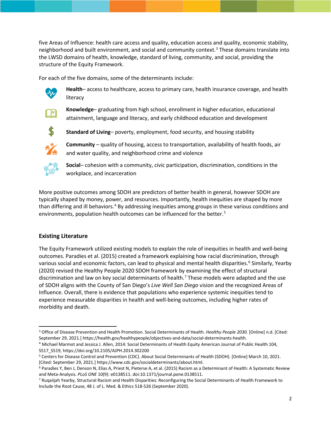five Areas of Influence: health care access and quality, education access and quality, economic stability, neighborhood and built environment, and social and community context.<sup>[3](#page-2-0)</sup> These domains translate into the LWSD domains of health, knowledge, standard of living, community, and social, providing the structure of the Equity Framework.

For each of the five domains, some of the determinants include:



**Health**– access to healthcare, access to primary care, health insurance coverage, and health literacy



**Knowledge**– graduating from high school, enrollment in higher education, educational attainment, language and literacy, and early childhood education and development



**Standard of Living**– poverty, employment, food security, and housing stability



**Community** – quality of housing, access to transportation, availability of health foods, air and water quality, and neighborhood crime and violence



**Social**– cohesion with a community, civic participation, discrimination, conditions in the workplace, and incarceration

More positive outcomes among SDOH are predictors of better health in general, however SDOH are typically shaped by money, power, and resources. Importantly, health inequities are shaped by more than differing and ill behaviors.<sup>[4](#page-2-1)</sup> By addressing inequities among groups in these various conditions and environments, population health outcomes can be influenced for the better.<sup>[5](#page-2-2)</sup>

### **Existing Literature**

The Equity Framework utilized existing models to explain the role of inequities in health and well-being outcomes. Paradies et al. (2015) created a framework explaining how racial discrimination, through various social and economic factors, can lead to physical and mental health disparities.<sup>[6](#page-2-3)</sup> Similarly, Yearby (2020) revised the Healthy People 2020 SDOH framework by examining the effect of structural discrimination and law on key social determinants of health.<sup>[7](#page-2-4)</sup> These models were adapted and the use of SDOH aligns with the County of San Diego's *Live Well San Diego* vision and the recognized Areas of Influence. Overall, there is evidence that populations who experience systemic inequities tend to experience measurable disparities in health and well-being outcomes, including higher rates of morbidity and death.

<span id="page-2-0"></span><sup>3</sup> Office of Disease Prevention and Health Promotion. Social Determinants of Health. *Healthy People 2030.* [Online] n.d. [Cited: September 29, 2021.] https://health.gov/healthypeople/objectives-and-data/social-determinants-health.

<span id="page-2-1"></span><sup>4</sup> Michael Marmot and Jessica J. Allen, 2014: Social Determinants of Health Equity American Journal of Public Health 104, S517\_S519, https://doi.org/10.2105/AJPH.2014.302200

<span id="page-2-2"></span><sup>5</sup> Centers for Disease Control and Prevention (CDC). About Social Determinants of Health (SDOH). [Online] March 10, 2021. [Cited: September 29, 2021.] https://www.cdc.gov/socialdeterminants/about.html.

<span id="page-2-3"></span><sup>6</sup> Paradies Y, Ben J, Denson N, Elias A, Priest N, Pieterse A, et al. (2015) Racism as a Determinant of Health: A Systematic Review and Meta-Analysis. *PLoS ONE* 10(9): e0138511. doi:10.1371/journal.pone.0138511.

<span id="page-2-4"></span><sup>7</sup> Ruqaiijah Yearby, Structural Racism and Health Disparities: Reconfiguring the Social Determinants of Health Framework to Include the Root Cause, 48 J. of L. Med. & Ethics 518-526 (September 2020).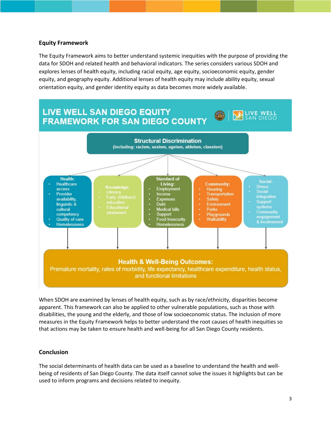#### **Equity Framework**

The Equity Framework aims to better understand systemic inequities with the purpose of providing the data for SDOH and related health and behavioral indicators. The series considers various SDOH and explores lenses of health equity, including racial equity, age equity, socioeconomic equity, gender equity, and geography equity. Additional lenses of health equity may include ability equity, sexual orientation equity, and gender identity equity as data becomes more widely available.



When SDOH are examined by lenses of health equity, such as by race/ethnicity, disparities become apparent. This framework can also be applied to other vulnerable populations, such as those with disabilities, the young and the elderly, and those of low socioeconomic status. The inclusion of more measures in the Equity Framework helps to better understand the root causes of health inequities so that actions may be taken to ensure health and well-being for all San Diego County residents.

### **Conclusion**

The social determinants of health data can be used as a baseline to understand the health and wellbeing of residents of San Diego County. The data itself cannot solve the issues it highlights but can be used to inform programs and decisions related to inequity.